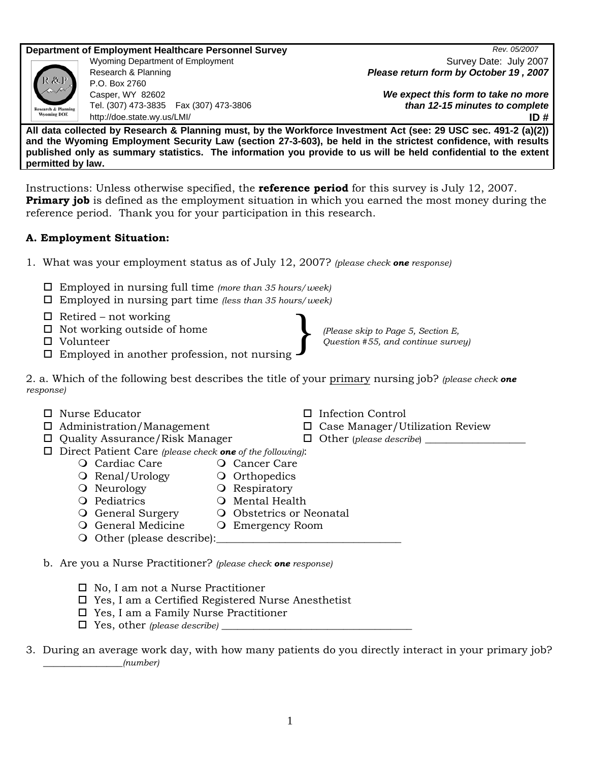**Department of Employment Healthcare Personnel Survey** *Rev. 05/2007**Rev. 05/2007* 

P.O. Box 2760 Casper, WY 82602 Tel. (307) 473-3835 Fax (307) 473-3806 http://doe.state.wy.us/LMI/ **ID #** 

Wyoming Department of Employment Survey Date: July 2007 Research & Planning *Please return form by October 19 , 2007*

> *We expect this form to take no more than 12-15 minutes to complete*

**All data collected by Research & Planning must, by the Workforce Investment Act (see: 29 USC sec. 491-2 (a)(2)) and the Wyoming Employment Security Law (section 27-3-603), be held in the strictest confidence, with results published only as summary statistics. The information you provide to us will be held confidential to the extent permitted by law.** 

Instructions: Unless otherwise specified, the **reference period** for this survey is July 12, 2007. **Primary job** is defined as the employment situation in which you earned the most money during the reference period. Thank you for your participation in this research.

# **A. Employment Situation:**

- 1. What was your employment status as of July 12, 2007? *(please check one response)* 
	- Employed in nursing full time *(more than 35 hours/week)*
	- Employed in nursing part time *(less than 35 hours/week)*
	- $\Box$  Retired not working
	- $\Box$  Not working outside of home
	- Volunteer
	- Employed in another profession, not nursing

2. a. Which of the following best describes the title of your primary nursing job? *(please check one response)* 

- Nurse Educator Infection Control □ Administration/Management □ □ Case Manager/Utilization Review
- □ Quality Assurance/Risk Manager □ Other (*please describe*)
- Direct Patient Care *(please check one of the following)*:
	- O Cardiac Care **Cancer Care**
	- O Renal/Urology **O** Orthopedics
	- O Neurology **C** Respiratory
	- Q Pediatrics Q Mental Health
	- O General Surgery O Obstetrics or Neonatal
	- O General Medicine O Emergency Room
	- O Other (please describe):

b. Are you a Nurse Practitioner? *(please check one response)*

- $\Box$  No, I am not a Nurse Practitioner
- Yes, I am a Certified Registered Nurse Anesthetist
- Yes, I am a Family Nurse Practitioner
- $\Box$  Yes, other *(please describe)*
- 3. During an average work day, with how many patients do you directly interact in your primary job? \_\_\_\_\_\_\_\_\_\_\_\_\_\_\_*(number)*

} *(Please skip to Page 5, Section E, Question #55, and continue survey)* 

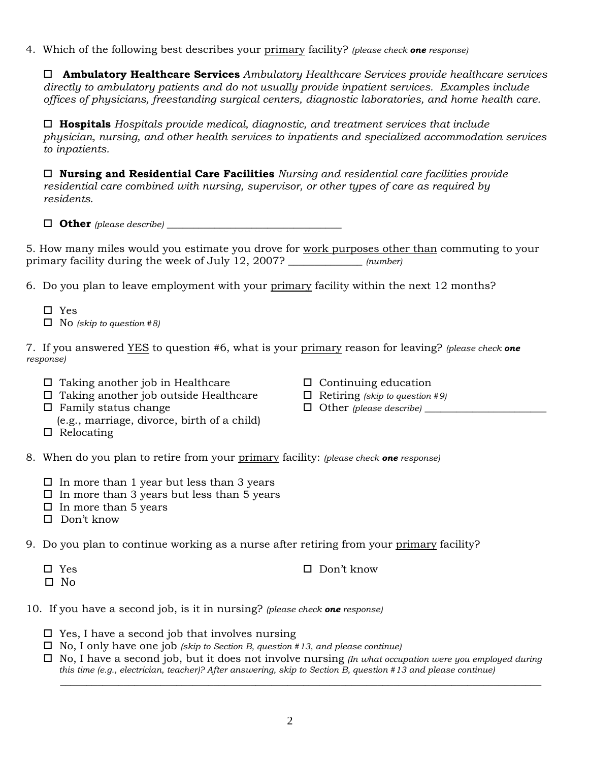4. Which of the following best describes your primary facility? *(please check one response)* 

 **Ambulatory Healthcare Services** *Ambulatory Healthcare Services provide healthcare services directly to ambulatory patients and do not usually provide inpatient services. Examples include offices of physicians, freestanding surgical centers, diagnostic laboratories, and home health care.* 

 **Hospitals** *Hospitals provide medical, diagnostic, and treatment services that include physician, nursing, and other health services to inpatients and specialized accommodation services to inpatients.* 

 **Nursing and Residential Care Facilities** *Nursing and residential care facilities provide residential care combined with nursing, supervisor, or other types of care as required by residents*.

 $\Box$  **Other** (please describe)

5. How many miles would you estimate you drove for work purposes other than commuting to your primary facility during the week of July 12, 2007? \_\_\_\_\_\_\_\_\_\_\_\_\_\_ *(number)*

6. Do you plan to leave employment with your primary facility within the next 12 months?

- $\Box$  Yes
- No *(skip to question #8)*

7. If you answered YES to question #6, what is your primary reason for leaving? *(please check one response)* 

- $\Box$  Taking another job in Healthcare  $\Box$  Continuing education
- Taking another job outside Healthcare Retiring *(skip to question #9)*
- Family status change Other *(please describe)* \_\_\_\_\_\_\_\_\_\_\_\_\_\_\_\_\_\_\_\_\_\_\_
- (e.g., marriage, divorce, birth of a child)
- $\Box$  Relocating
- 
- 
- 
- 8. When do you plan to retire from your primary facility: *(please check one response)*
	- $\Box$  In more than 1 year but less than 3 years
	- $\square$  In more than 3 years but less than 5 years
	- $\Box$  In more than 5 years
	- □ Don't know

9. Do you plan to continue working as a nurse after retiring from your primary facility?

- Yes Don't know
- $\square$  No
- 10. If you have a second job, is it in nursing? *(please check one response)*
	- $\square$  Yes, I have a second job that involves nursing
	- No, I only have one job *(skip to Section B, question #13, and please continue)*
	- No, I have a second job, but it does not involve nursing *(In what occupation were you employed during this time (e.g., electrician, teacher)? After answering, skip to Section B, question #13 and please continue)*

\_\_\_\_\_\_\_\_\_\_\_\_\_\_\_\_\_\_\_\_\_\_\_\_\_\_\_\_\_\_\_\_\_\_\_\_\_\_\_\_\_\_\_\_\_\_\_\_\_\_\_\_\_\_\_\_\_\_\_\_\_\_\_\_\_\_\_\_\_\_\_\_\_\_\_\_\_\_\_\_\_\_\_\_\_\_\_\_\_\_\_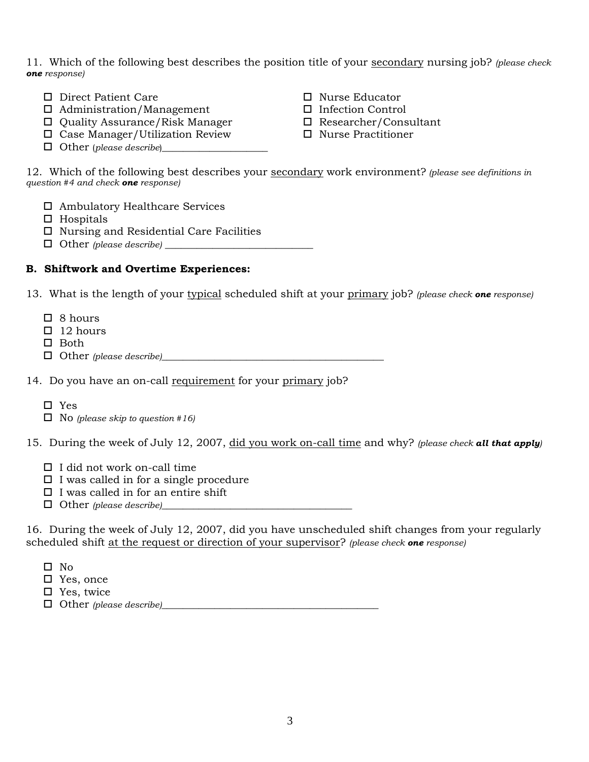11. Which of the following best describes the position title of your secondary nursing job? *(please check one response)*

- □ Direct Patient Care 
→ □ Nurse Educator
- Administration/Management Infection Control
- □ Quality Assurance/Risk Manager □ Researcher/Consultant
- $\Box$  Case Manager/Utilization Review  $\Box$  Nurse Practitioner
- $\Box$  Other (*please describe*)
- 
- 
- 
- 

12. Which of the following best describes your secondary work environment? *(please see definitions in question #4 and check one response)*

- Ambulatory Healthcare Services
- $\Box$  Hospitals
- □ Nursing and Residential Care Facilities
- $\Box$  Other *(please describe)*

### **B. Shiftwork and Overtime Experiences:**

13. What is the length of your typical scheduled shift at your primary job? *(please check one response)*

- □ 8 hours
- $\Box$  12 hours
- $\square$  Both
- Other *(please describe)*\_\_\_\_\_\_\_\_\_\_\_\_\_\_\_\_\_\_\_\_\_\_\_\_\_\_\_\_\_\_\_\_\_\_\_\_\_\_\_\_\_\_

14. Do you have an on-call requirement for your primary job?

- Yes
- No *(please skip to question #16)*

15. During the week of July 12, 2007, did you work on-call time and why? *(please check all that apply)* 

- $\Box$  I did not work on-call time
- $\Box$  I was called in for a single procedure
- $\square$  I was called in for an entire shift
- Other *(please describe)*\_\_\_\_\_\_\_\_\_\_\_\_\_\_\_\_\_\_\_\_\_\_\_\_\_\_\_\_\_\_\_\_\_\_\_\_

16. During the week of July 12, 2007, did you have unscheduled shift changes from your regularly scheduled shift at the request or direction of your supervisor? *(please check one response)*

- $\square$  No
- □ Yes, once
- □ Yes, twice
- Other *(please describe)*\_\_\_\_\_\_\_\_\_\_\_\_\_\_\_\_\_\_\_\_\_\_\_\_\_\_\_\_\_\_\_\_\_\_\_\_\_\_\_\_\_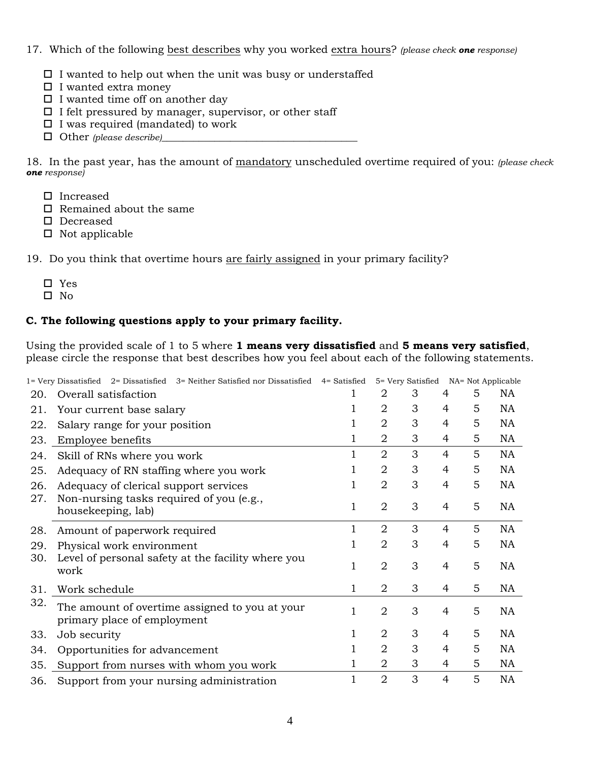### 17. Which of the following best describes why you worked extra hours? *(please check one response)*

- $\square$  I wanted to help out when the unit was busy or understaffed
- $\square$  I wanted extra money
- $\Box$  I wanted time off on another day
- $\Box$  I felt pressured by manager, supervisor, or other staff
- $\square$  I was required (mandated) to work
- Other *(please describe)*\_\_\_\_\_\_\_\_\_\_\_\_\_\_\_\_\_\_\_\_\_\_\_\_\_\_\_\_\_\_\_\_\_\_\_\_\_

18. In the past year, has the amount of mandatory unscheduled overtime required of you: *(please check one response)*

- □ Increased
- $\square$  Remained about the same
- □ Decreased
- $\Box$  Not applicable

19. Do you think that overtime hours are fairly assigned in your primary facility?

- Yes
- $\square$  No

### **C. The following questions apply to your primary facility.**

Using the provided scale of 1 to 5 where **1 means very dissatisfied** and **5 means very satisfied**, please circle the response that best describes how you feel about each of the following statements.

|     | $1 =$ Very Dissatisfied 2 = Dissatisfied 3 = Neither Satisfied nor Dissatisfied 4 = Satisfied |   |                | 5= Very Satisfied NA= Not Applicable |                |   |           |
|-----|-----------------------------------------------------------------------------------------------|---|----------------|--------------------------------------|----------------|---|-----------|
| 20. | Overall satisfaction                                                                          |   | 2              | 3                                    | 4              | 5 | NA        |
| 21. | Your current base salary                                                                      |   | 2              | 3                                    | 4              | 5 | NA        |
| 22. | Salary range for your position                                                                | l | $\overline{2}$ | 3                                    | 4              | 5 | NA        |
| 23. | Employee benefits                                                                             | 1 | $\overline{2}$ | 3                                    | 4              | 5 | NA        |
| 24. | Skill of RNs where you work                                                                   |   | $\overline{2}$ | 3                                    | $\overline{4}$ | 5 | NA        |
| 25. | Adequacy of RN staffing where you work                                                        |   | $\overline{2}$ | 3                                    | 4              | 5 | NA        |
| 26. | Adequacy of clerical support services                                                         |   | $\overline{2}$ | 3                                    | 4              | 5 | NA        |
| 27. | Non-nursing tasks required of you (e.g.,<br>housekeeping, lab)                                | 1 | $\overline{2}$ | 3                                    | 4              | 5 | NA        |
| 28. | Amount of paperwork required                                                                  | 1 | $\overline{2}$ | 3                                    | $\overline{4}$ | 5 | NA        |
| 29. | Physical work environment                                                                     |   | $\overline{2}$ | 3                                    | 4              | 5 | <b>NA</b> |
| 30. | Level of personal safety at the facility where you<br>work                                    | 1 | $\overline{2}$ | 3                                    | 4              | 5 | NA        |
| 31. | Work schedule                                                                                 | 1 | $\overline{2}$ | 3                                    | 4              | 5 | NA        |
| 32. | The amount of overtime assigned to you at your<br>primary place of employment                 | 1 | $\overline{2}$ | 3                                    | 4              | 5 | NA        |
| 33. | Job security                                                                                  | 1 | $\overline{2}$ | 3                                    | 4              | 5 | NA        |
| 34. | Opportunities for advancement                                                                 | 1 | 2              | 3                                    | 4              | 5 | NA        |
| 35. | Support from nurses with whom you work                                                        |   | 2              | 3                                    | 4              | 5 | NA        |
| 36. | Support from your nursing administration                                                      |   | $\overline{2}$ | 3                                    | 4              | 5 | <b>NA</b> |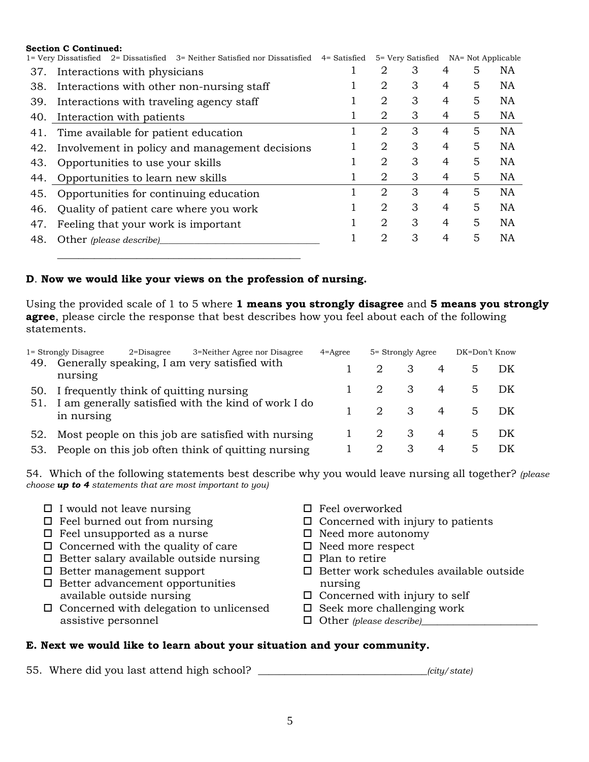|     | <b>Section C Continued:</b>                                                |              |   |                   |   |                    |           |  |
|-----|----------------------------------------------------------------------------|--------------|---|-------------------|---|--------------------|-----------|--|
|     | 1= Very Dissatisfied 2= Dissatisfied 3= Neither Satisfied nor Dissatisfied | 4= Satisfied |   | 5= Very Satisfied |   | NA= Not Applicable |           |  |
| 37. | Interactions with physicians                                               |              | 2 | З                 | 4 | 5                  | <b>NA</b> |  |
| 38. | Interactions with other non-nursing staff                                  |              | 2 | 3                 | 4 | 5                  | <b>NA</b> |  |
| 39. | Interactions with traveling agency staff                                   |              | 2 | 3                 | 4 | 5                  | <b>NA</b> |  |
| 40. | Interaction with patients                                                  |              | 2 | 3                 | 4 | 5                  | NA        |  |
| 41. | Time available for patient education                                       |              | 2 | 3                 | 4 | 5                  | <b>NA</b> |  |
| 42. | Involvement in policy and management decisions                             |              | 2 | 3                 | 4 | 5                  | <b>NA</b> |  |
| 43. | Opportunities to use your skills                                           |              | 2 | 3                 | 4 | 5                  | <b>NA</b> |  |
|     | 44. Opportunities to learn new skills                                      |              | 2 | 3                 | 4 | 5                  | <b>NA</b> |  |
| 45. | Opportunities for continuing education                                     |              | 2 | 3                 | 4 | 5                  | <b>NA</b> |  |
| 46. | Quality of patient care where you work                                     |              | 2 | 3                 | 4 | 5                  | <b>NA</b> |  |
| 47. | Feeling that your work is important                                        |              | 2 | 3                 | 4 | 5                  | <b>NA</b> |  |
| 48. | Other (please describe)                                                    |              | 2 | 3                 | 4 | 5                  | <b>NA</b> |  |
|     |                                                                            |              |   |                   |   |                    |           |  |

### **D**. **Now we would like your views on the profession of nursing.**

Using the provided scale of 1 to 5 where **1 means you strongly disagree** and **5 means you strongly agree**, please circle the response that best describes how you feel about each of the following statements.

|     | 3=Neither Agree nor Disagree<br>1= Strongly Disagree<br>$2$ =Disagree | $4 = \text{Agree}$ | 5= Strongly Agree        |                | DK=Don't Know  |      |  |
|-----|-----------------------------------------------------------------------|--------------------|--------------------------|----------------|----------------|------|--|
| 49. | Generally speaking, I am very satisfied with<br>nursing               |                    | $\overline{\phantom{a}}$ | 4              |                | - DK |  |
| 51. | 50. I frequently think of quitting nursing                            |                    | $\overline{\mathbf{3}}$  | 4              | 5 <sup>7</sup> | - DK |  |
|     | I am generally satisfied with the kind of work I do<br>in nursing     |                    | 2 3                      | $\overline{4}$ | $5 -$          | – DK |  |
| 52. | Most people on this job are satisfied with nursing                    |                    | 3                        | 4              | $5 -$          | - DK |  |
|     | 53. People on this job often think of quitting nursing                |                    | 3                        | 4              | 5.             | DK   |  |

54. Which of the following statements best describe why you would leave nursing all together? *(please choose up to 4 statements that are most important to you)*

- 
- $\square$  I would not leave nursing  $\square$  Feel overworked  $\square$  Feel burned out from nursing  $\square$  Concerned with
- $\Box$  Feel unsupported as a nurse  $\Box$  Need more autonomy
- $\Box$  Concerned with the quality of care  $\Box$  Need more respect
- $\Box$  Better salary available outside nursing  $\Box$  Plan to retire
- 
- $\Box$  Better advancement opportunities nursing available outside nursing  $\square$  Concerned with injury to self
- $\Box$  Concerned with delegation to unlicensed  $\Box$  Seek more challenging work assistive personnel  $\Box$  Other *(please describe)*
- 
- $\Box$  Concerned with injury to patients
- 
- 
- 
- $\Box$  Better management support  $\Box$  Better work schedules available outside
	-
	-
	-

# **E. Next we would like to learn about your situation and your community.**

55. Where did you last attend high school? \_\_\_\_\_\_\_\_\_\_\_\_\_\_\_\_\_\_\_\_\_\_\_\_\_\_\_\_\_\_\_\_*(city/state)*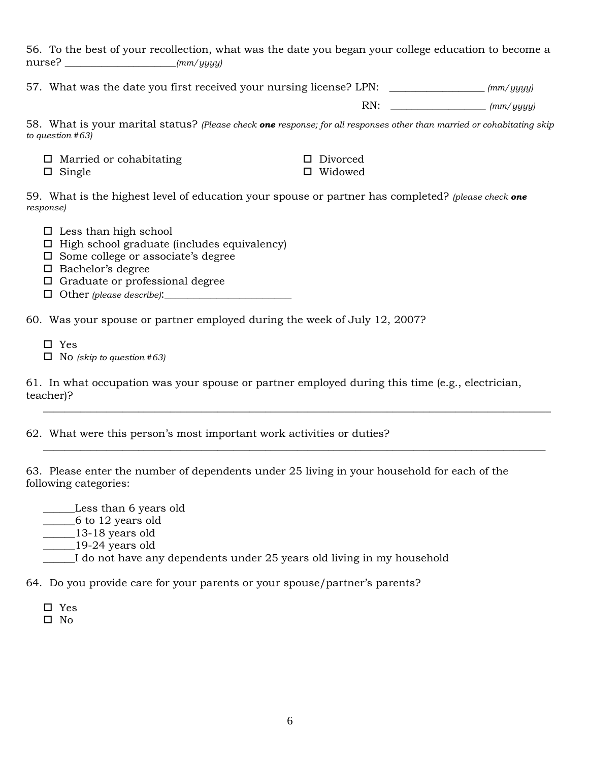56. To the best of your recollection, what was the date you began your college education to become a nurse? \_\_\_\_\_\_\_\_\_\_\_\_\_\_\_\_\_\_\_\_\_*(mm/yyyy)*

57. What was the date you first received your nursing license? LPN: \_\_\_\_\_\_\_\_\_\_\_\_\_\_\_\_\_\_ *(mm/yyyy)* 

RN: \_\_\_\_\_\_\_\_\_\_\_\_\_\_\_\_\_\_ *(mm/yyyy)*

58. What is your marital status? *(Please check one response; for all responses other than married or cohabitating skip to question #63)* 

| $\Box$ Married or cohabitating | □ Divorced     |
|--------------------------------|----------------|
| $\Box$ Single                  | $\Box$ Widowed |

59. What is the highest level of education your spouse or partner has completed? *(please check one response)*

- $\square$  Less than high school
- $\Box$  High school graduate (includes equivalency)
- $\square$  Some college or associate's degree
- $\Box$  Bachelor's degree
- $\Box$  Graduate or professional degree
- Other *(please describe)*:\_\_\_\_\_\_\_\_\_\_\_\_\_\_\_\_\_\_\_\_\_\_

60. Was your spouse or partner employed during the week of July 12, 2007?

- □ Yes
- No *(skip to question #63)*

61. In what occupation was your spouse or partner employed during this time (e.g., electrician, teacher)?

 $\frac{1}{\sqrt{2}}$  ,  $\frac{1}{\sqrt{2}}$  ,  $\frac{1}{\sqrt{2}}$  ,  $\frac{1}{\sqrt{2}}$  ,  $\frac{1}{\sqrt{2}}$  ,  $\frac{1}{\sqrt{2}}$  ,  $\frac{1}{\sqrt{2}}$  ,  $\frac{1}{\sqrt{2}}$  ,  $\frac{1}{\sqrt{2}}$  ,  $\frac{1}{\sqrt{2}}$  ,  $\frac{1}{\sqrt{2}}$  ,  $\frac{1}{\sqrt{2}}$  ,  $\frac{1}{\sqrt{2}}$  ,  $\frac{1}{\sqrt{2}}$  ,  $\frac{1}{\sqrt{2}}$ 

 $\frac{1}{\sqrt{2}}$  ,  $\frac{1}{\sqrt{2}}$  ,  $\frac{1}{\sqrt{2}}$  ,  $\frac{1}{\sqrt{2}}$  ,  $\frac{1}{\sqrt{2}}$  ,  $\frac{1}{\sqrt{2}}$  ,  $\frac{1}{\sqrt{2}}$  ,  $\frac{1}{\sqrt{2}}$  ,  $\frac{1}{\sqrt{2}}$  ,  $\frac{1}{\sqrt{2}}$  ,  $\frac{1}{\sqrt{2}}$  ,  $\frac{1}{\sqrt{2}}$  ,  $\frac{1}{\sqrt{2}}$  ,  $\frac{1}{\sqrt{2}}$  ,  $\frac{1}{\sqrt{2}}$ 

62. What were this person's most important work activities or duties?

63. Please enter the number of dependents under 25 living in your household for each of the following categories:

\_\_\_\_\_\_Less than 6 years old

\_\_\_\_\_\_6 to 12 years old

\_\_\_\_\_\_13-18 years old

\_\_\_\_\_\_19-24 years old

\_\_\_\_\_\_I do not have any dependents under 25 years old living in my household

64. Do you provide care for your parents or your spouse/partner's parents?

- Yes
- $\square$  No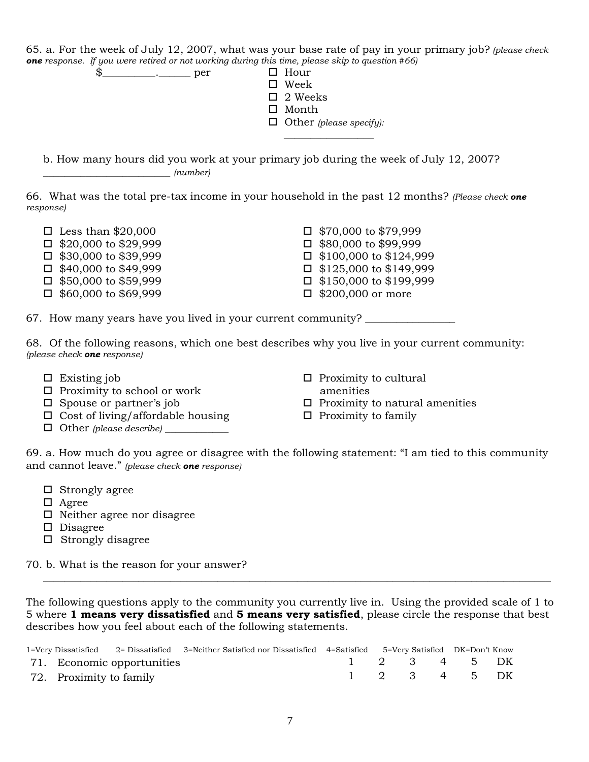65. a. For the week of July 12, 2007, what was your base rate of pay in your primary job? *(please check one response. If you were retired or not working during this time, please skip to question #66)* 

\$\_\_\_\_\_\_\_\_\_\_\_\_\_\_\_\_\_ per □ Hour Week  $\Box$  2 Weeks

\_\_\_\_\_\_\_\_\_\_\_\_\_\_\_\_\_

- □ Month
- Other *(please specify):*

 b. How many hours did you work at your primary job during the week of July 12, 2007? \_\_\_\_\_\_\_\_\_\_\_\_\_\_\_\_\_\_\_\_\_\_\_\_ *(number)*

66. What was the total pre-tax income in your household in the past 12 months? *(Please check one response)* 

- $\Box$  Less than \$20,000  $\Box$  \$70,000 to \$79,999
- $\Box$  \$20,000 to \$29,999  $\Box$  \$80,000 to \$99,999
- $\Box$  \$30,000 to \$39,999  $\Box$  \$100,000 to \$124,999
- 
- 
- $\Box$  \$60,000 to \$69,999  $\Box$  \$200,000 or more

 $\Box$  \$40,000 to \$49,999  $\Box$  \$125,000 to \$149,999  $\Box$  \$50,000 to \$59,999  $\Box$  \$150,000 to \$199,999

67. How many years have you lived in your current community?

68. Of the following reasons, which one best describes why you live in your current community: *(please check one response)*

- 
- □ Proximity to school or work amenities
- 
- $\Box$  Cost of living/affordable housing  $\Box$  Proximity to family
- Other *(please describe)* \_\_\_\_\_\_\_\_\_\_\_\_
- Existing job Proximity to cultural
	-
- $\Box$  Spouse or partner's job  $\Box$  Proximity to natural amenities
	-

69. a. How much do you agree or disagree with the following statement: "I am tied to this community and cannot leave." *(please check one response)*

- $\Box$  Strongly agree
- Agree
- $\Box$  Neither agree nor disagree
- D Disagree
- $\Box$  Strongly disagree

70. b. What is the reason for your answer?

The following questions apply to the community you currently live in. Using the provided scale of 1 to 5 where **1 means very dissatisfied** and **5 means very satisfied**, please circle the response that best describes how you feel about each of the following statements.

 $\overline{\phantom{a}}$  , and the contribution of the contribution of the contribution of the contribution of the contribution of the contribution of the contribution of the contribution of the contribution of the contribution of the

|                         |                            | 1=Very Dissatisfied 2= Dissatisfied 3=Neither Satisfied nor Dissatisfied 4=Satisfied 5=Very Satisfied DK=Don't Know |  |  |                          |  |
|-------------------------|----------------------------|---------------------------------------------------------------------------------------------------------------------|--|--|--------------------------|--|
|                         | 71. Economic opportunities |                                                                                                                     |  |  | 1 2 3 4 5 DK             |  |
| 72. Proximity to family |                            |                                                                                                                     |  |  | $1 \t2 \t3 \t4 \t5 \tDK$ |  |